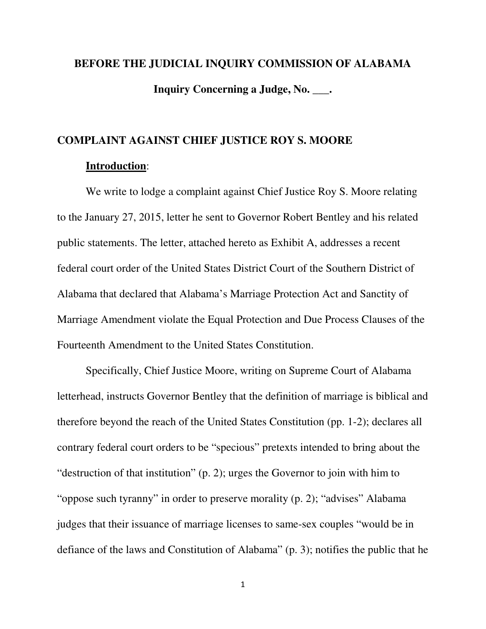# **BEFORE THE JUDICIAL INQUIRY COMMISSION OF ALABAMA Inquiry Concerning a Judge, No. \_\_\_.**

### **COMPLAINT AGAINST CHIEF JUSTICE ROY S. MOORE**

#### **Introduction**:

We write to lodge a complaint against Chief Justice Roy S. Moore relating to the January 27, 2015, letter he sent to Governor Robert Bentley and his related public statements. The letter, attached hereto as Exhibit A, addresses a recent federal court order of the United States District Court of the Southern District of Alabama that declared that Alabama's Marriage Protection Act and Sanctity of Marriage Amendment violate the Equal Protection and Due Process Clauses of the Fourteenth Amendment to the United States Constitution.

Specifically, Chief Justice Moore, writing on Supreme Court of Alabama letterhead, instructs Governor Bentley that the definition of marriage is biblical and therefore beyond the reach of the United States Constitution (pp. 1-2); declares all contrary federal court orders to be "specious" pretexts intended to bring about the "destruction of that institution" (p. 2); urges the Governor to join with him to "oppose such tyranny" in order to preserve morality (p. 2); "advises" Alabama judges that their issuance of marriage licenses to same-sex couples "would be in defiance of the laws and Constitution of Alabama" (p. 3); notifies the public that he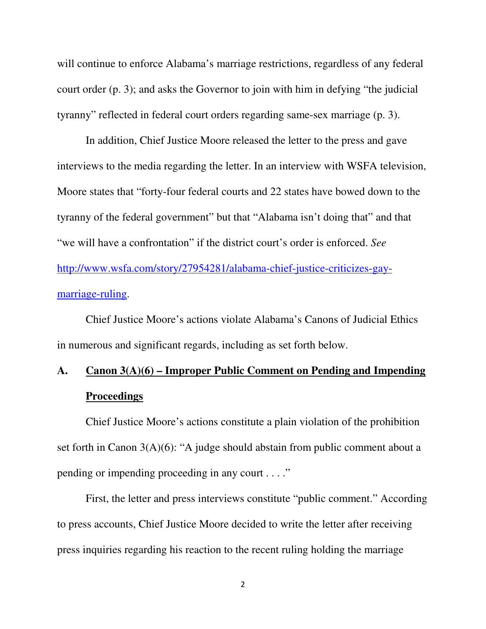will continue to enforce Alabama's marriage restrictions, regardless of any federal court order (p. 3); and asks the Governor to join with him in defying "the judicial tyranny" reflected in federal court orders regarding same-sex marriage (p. 3).

In addition, Chief Justice Moore released the letter to the press and gave interviews to the media regarding the letter. In an interview with WSFA television, Moore states that "forty-four federal courts and 22 states have bowed down to the tyranny of the federal government" but that "Alabama isn't doing that" and that "we will have a confrontation" if the district court's order is enforced. *See* http://www.wsfa.com/story/27954281/alabama-chief-justice-criticizes-gaymarriage-ruling.

Chief Justice Moore's actions violate Alabama's Canons of Judicial Ethics in numerous and significant regards, including as set forth below.

## **A. Canon 3(A)(6) – Improper Public Comment on Pending and Impending Proceedings**

 Chief Justice Moore's actions constitute a plain violation of the prohibition set forth in Canon 3(A)(6): "A judge should abstain from public comment about a pending or impending proceeding in any court . . . ."

 First, the letter and press interviews constitute "public comment." According to press accounts, Chief Justice Moore decided to write the letter after receiving press inquiries regarding his reaction to the recent ruling holding the marriage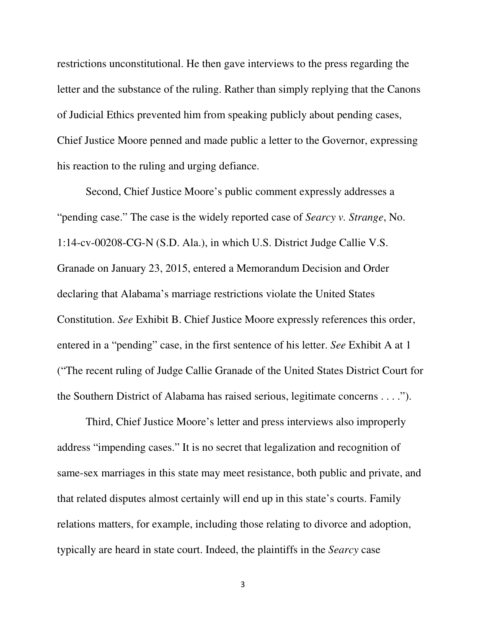restrictions unconstitutional. He then gave interviews to the press regarding the letter and the substance of the ruling. Rather than simply replying that the Canons of Judicial Ethics prevented him from speaking publicly about pending cases, Chief Justice Moore penned and made public a letter to the Governor, expressing his reaction to the ruling and urging defiance.

 Second, Chief Justice Moore's public comment expressly addresses a "pending case." The case is the widely reported case of *Searcy v. Strange*, No. 1:14-cv-00208-CG-N (S.D. Ala.), in which U.S. District Judge Callie V.S. Granade on January 23, 2015, entered a Memorandum Decision and Order declaring that Alabama's marriage restrictions violate the United States Constitution. *See* Exhibit B. Chief Justice Moore expressly references this order, entered in a "pending" case, in the first sentence of his letter. *See* Exhibit A at 1 ("The recent ruling of Judge Callie Granade of the United States District Court for the Southern District of Alabama has raised serious, legitimate concerns . . . .").

 Third, Chief Justice Moore's letter and press interviews also improperly address "impending cases." It is no secret that legalization and recognition of same-sex marriages in this state may meet resistance, both public and private, and that related disputes almost certainly will end up in this state's courts. Family relations matters, for example, including those relating to divorce and adoption, typically are heard in state court. Indeed, the plaintiffs in the *Searcy* case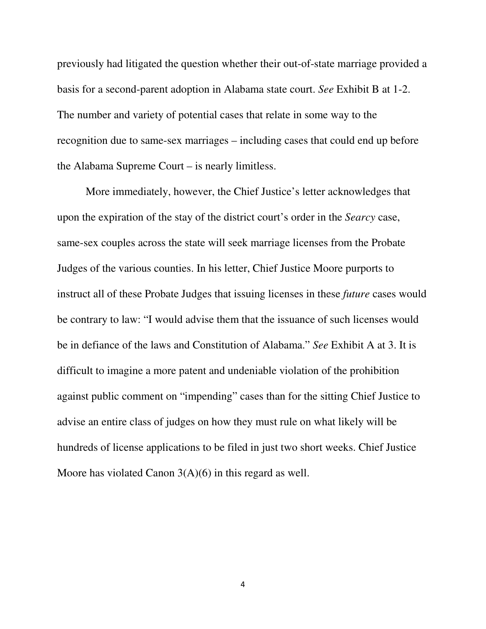previously had litigated the question whether their out-of-state marriage provided a basis for a second-parent adoption in Alabama state court. *See* Exhibit B at 1-2. The number and variety of potential cases that relate in some way to the recognition due to same-sex marriages – including cases that could end up before the Alabama Supreme Court – is nearly limitless.

More immediately, however, the Chief Justice's letter acknowledges that upon the expiration of the stay of the district court's order in the *Searcy* case, same-sex couples across the state will seek marriage licenses from the Probate Judges of the various counties. In his letter, Chief Justice Moore purports to instruct all of these Probate Judges that issuing licenses in these *future* cases would be contrary to law: "I would advise them that the issuance of such licenses would be in defiance of the laws and Constitution of Alabama." *See* Exhibit A at 3. It is difficult to imagine a more patent and undeniable violation of the prohibition against public comment on "impending" cases than for the sitting Chief Justice to advise an entire class of judges on how they must rule on what likely will be hundreds of license applications to be filed in just two short weeks. Chief Justice Moore has violated Canon 3(A)(6) in this regard as well.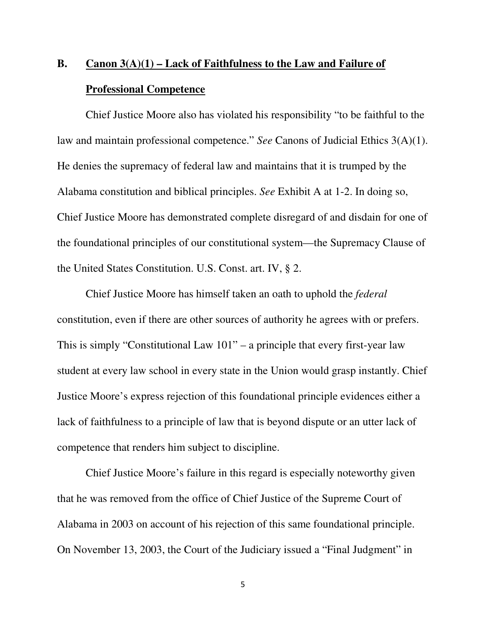# **B. Canon 3(A)(1) – Lack of Faithfulness to the Law and Failure of Professional Competence**

 Chief Justice Moore also has violated his responsibility "to be faithful to the law and maintain professional competence." *See* Canons of Judicial Ethics 3(A)(1). He denies the supremacy of federal law and maintains that it is trumped by the Alabama constitution and biblical principles. *See* Exhibit A at 1-2. In doing so, Chief Justice Moore has demonstrated complete disregard of and disdain for one of the foundational principles of our constitutional system—the Supremacy Clause of the United States Constitution. U.S. Const. art. IV, § 2.

 Chief Justice Moore has himself taken an oath to uphold the *federal* constitution, even if there are other sources of authority he agrees with or prefers. This is simply "Constitutional Law 101" – a principle that every first-year law student at every law school in every state in the Union would grasp instantly. Chief Justice Moore's express rejection of this foundational principle evidences either a lack of faithfulness to a principle of law that is beyond dispute or an utter lack of competence that renders him subject to discipline.

 Chief Justice Moore's failure in this regard is especially noteworthy given that he was removed from the office of Chief Justice of the Supreme Court of Alabama in 2003 on account of his rejection of this same foundational principle. On November 13, 2003, the Court of the Judiciary issued a "Final Judgment" in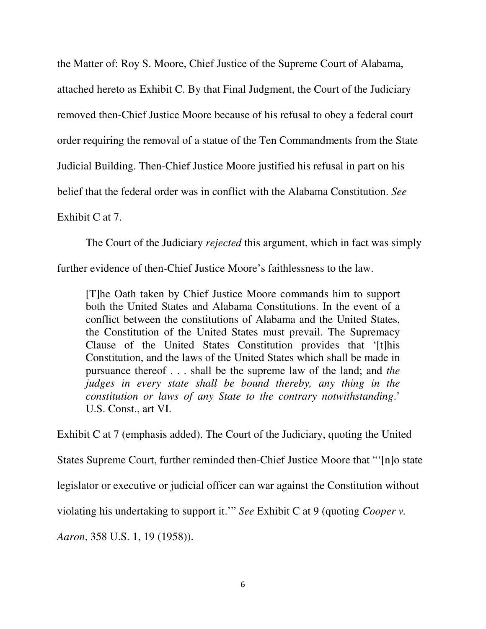the Matter of: Roy S. Moore, Chief Justice of the Supreme Court of Alabama,

attached hereto as Exhibit C. By that Final Judgment, the Court of the Judiciary

removed then-Chief Justice Moore because of his refusal to obey a federal court

order requiring the removal of a statue of the Ten Commandments from the State

Judicial Building. Then-Chief Justice Moore justified his refusal in part on his

belief that the federal order was in conflict with the Alabama Constitution. *See*

#### Exhibit C at 7.

The Court of the Judiciary *rejected* this argument, which in fact was simply

further evidence of then-Chief Justice Moore's faithlessness to the law.

[T]he Oath taken by Chief Justice Moore commands him to support both the United States and Alabama Constitutions. In the event of a conflict between the constitutions of Alabama and the United States, the Constitution of the United States must prevail. The Supremacy Clause of the United States Constitution provides that '[t]his Constitution, and the laws of the United States which shall be made in pursuance thereof . . . shall be the supreme law of the land; and *the judges in every state shall be bound thereby, any thing in the constitution or laws of any State to the contrary notwithstanding*.' U.S. Const., art VI.

Exhibit C at 7 (emphasis added). The Court of the Judiciary, quoting the United States Supreme Court, further reminded then-Chief Justice Moore that "'[n]o state legislator or executive or judicial officer can war against the Constitution without violating his undertaking to support it.'" *See* Exhibit C at 9 (quoting *Cooper v. Aaron*, 358 U.S. 1, 19 (1958)).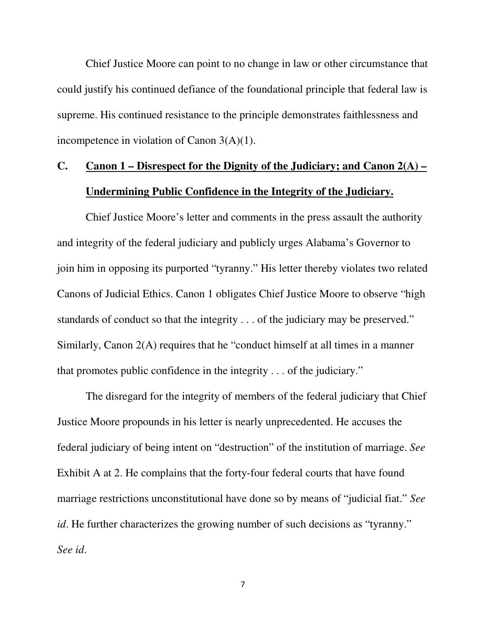Chief Justice Moore can point to no change in law or other circumstance that could justify his continued defiance of the foundational principle that federal law is supreme. His continued resistance to the principle demonstrates faithlessness and incompetence in violation of Canon 3(A)(1).

### **C. Canon 1 – Disrespect for the Dignity of the Judiciary; and Canon 2(A) – Undermining Public Confidence in the Integrity of the Judiciary.**

 Chief Justice Moore's letter and comments in the press assault the authority and integrity of the federal judiciary and publicly urges Alabama's Governor to join him in opposing its purported "tyranny." His letter thereby violates two related Canons of Judicial Ethics. Canon 1 obligates Chief Justice Moore to observe "high standards of conduct so that the integrity . . . of the judiciary may be preserved." Similarly, Canon 2(A) requires that he "conduct himself at all times in a manner that promotes public confidence in the integrity . . . of the judiciary."

 The disregard for the integrity of members of the federal judiciary that Chief Justice Moore propounds in his letter is nearly unprecedented. He accuses the federal judiciary of being intent on "destruction" of the institution of marriage. *See* Exhibit A at 2. He complains that the forty-four federal courts that have found marriage restrictions unconstitutional have done so by means of "judicial fiat." *See id*. He further characterizes the growing number of such decisions as "tyranny." *See id*.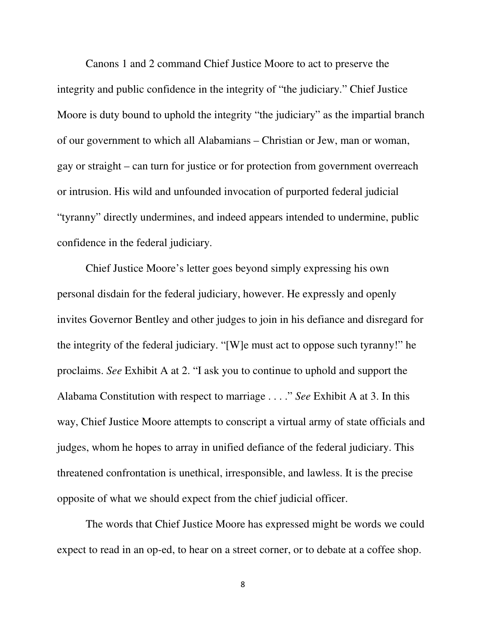Canons 1 and 2 command Chief Justice Moore to act to preserve the integrity and public confidence in the integrity of "the judiciary." Chief Justice Moore is duty bound to uphold the integrity "the judiciary" as the impartial branch of our government to which all Alabamians – Christian or Jew, man or woman, gay or straight – can turn for justice or for protection from government overreach or intrusion. His wild and unfounded invocation of purported federal judicial "tyranny" directly undermines, and indeed appears intended to undermine, public confidence in the federal judiciary.

 Chief Justice Moore's letter goes beyond simply expressing his own personal disdain for the federal judiciary, however. He expressly and openly invites Governor Bentley and other judges to join in his defiance and disregard for the integrity of the federal judiciary. "[W]e must act to oppose such tyranny!" he proclaims. *See* Exhibit A at 2. "I ask you to continue to uphold and support the Alabama Constitution with respect to marriage . . . ." *See* Exhibit A at 3. In this way, Chief Justice Moore attempts to conscript a virtual army of state officials and judges, whom he hopes to array in unified defiance of the federal judiciary. This threatened confrontation is unethical, irresponsible, and lawless. It is the precise opposite of what we should expect from the chief judicial officer.

 The words that Chief Justice Moore has expressed might be words we could expect to read in an op-ed, to hear on a street corner, or to debate at a coffee shop.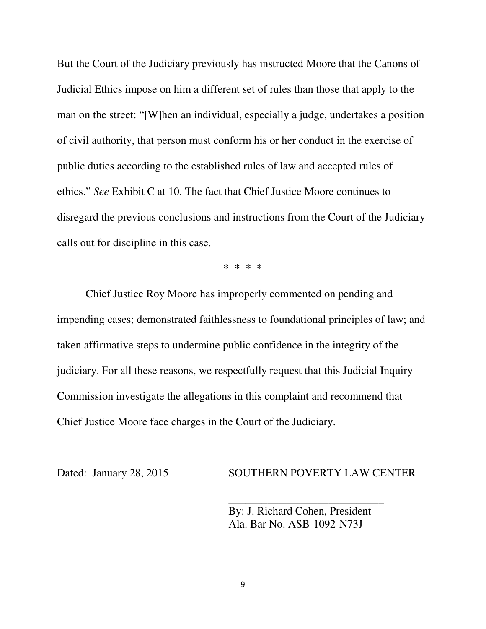But the Court of the Judiciary previously has instructed Moore that the Canons of Judicial Ethics impose on him a different set of rules than those that apply to the man on the street: "[W]hen an individual, especially a judge, undertakes a position of civil authority, that person must conform his or her conduct in the exercise of public duties according to the established rules of law and accepted rules of ethics." *See* Exhibit C at 10. The fact that Chief Justice Moore continues to disregard the previous conclusions and instructions from the Court of the Judiciary calls out for discipline in this case.

\* \* \* \*

Chief Justice Roy Moore has improperly commented on pending and impending cases; demonstrated faithlessness to foundational principles of law; and taken affirmative steps to undermine public confidence in the integrity of the judiciary. For all these reasons, we respectfully request that this Judicial Inquiry Commission investigate the allegations in this complaint and recommend that Chief Justice Moore face charges in the Court of the Judiciary.

Dated: January 28, 2015 SOUTHERN POVERTY LAW CENTER

 By: J. Richard Cohen, President Ala. Bar No. ASB-1092-N73J

 $\frac{1}{\sqrt{2}}$  ,  $\frac{1}{\sqrt{2}}$  ,  $\frac{1}{\sqrt{2}}$  ,  $\frac{1}{\sqrt{2}}$  ,  $\frac{1}{\sqrt{2}}$  ,  $\frac{1}{\sqrt{2}}$  ,  $\frac{1}{\sqrt{2}}$  ,  $\frac{1}{\sqrt{2}}$  ,  $\frac{1}{\sqrt{2}}$  ,  $\frac{1}{\sqrt{2}}$  ,  $\frac{1}{\sqrt{2}}$  ,  $\frac{1}{\sqrt{2}}$  ,  $\frac{1}{\sqrt{2}}$  ,  $\frac{1}{\sqrt{2}}$  ,  $\frac{1}{\sqrt{2}}$